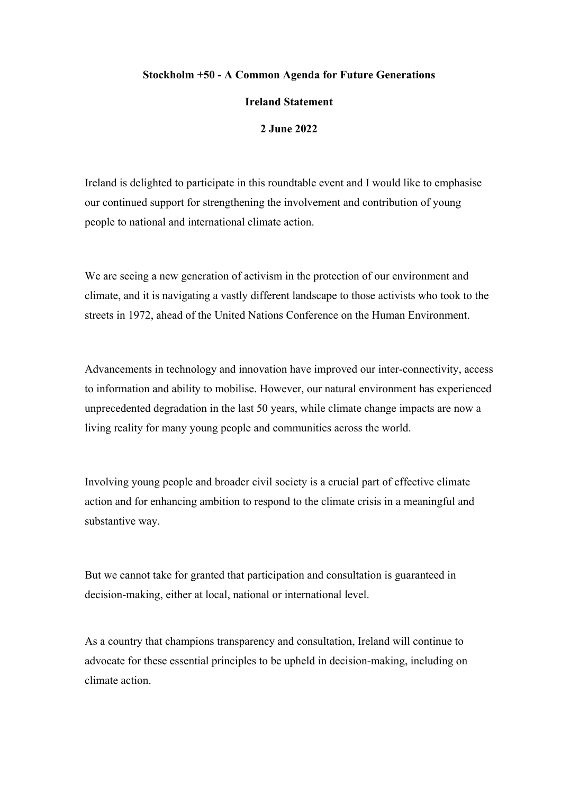## **Stockholm +50 - A Common Agenda for Future Generations**

## **Ireland Statement**

## **2 June 2022**

Ireland is delighted to participate in this roundtable event and I would like to emphasise our continued support for strengthening the involvement and contribution of young people to national and international climate action.

We are seeing a new generation of activism in the protection of our environment and climate, and it is navigating a vastly different landscape to those activists who took to the streets in 1972, ahead of the United Nations Conference on the Human Environment.

Advancements in technology and innovation have improved our inter-connectivity, access to information and ability to mobilise. However, our natural environment has experienced unprecedented degradation in the last 50 years, while climate change impacts are now a living reality for many young people and communities across the world.

Involving young people and broader civil society is a crucial part of effective climate action and for enhancing ambition to respond to the climate crisis in a meaningful and substantive way.

But we cannot take for granted that participation and consultation is guaranteed in decision-making, either at local, national or international level.

As a country that champions transparency and consultation, Ireland will continue to advocate for these essential principles to be upheld in decision-making, including on climate action.